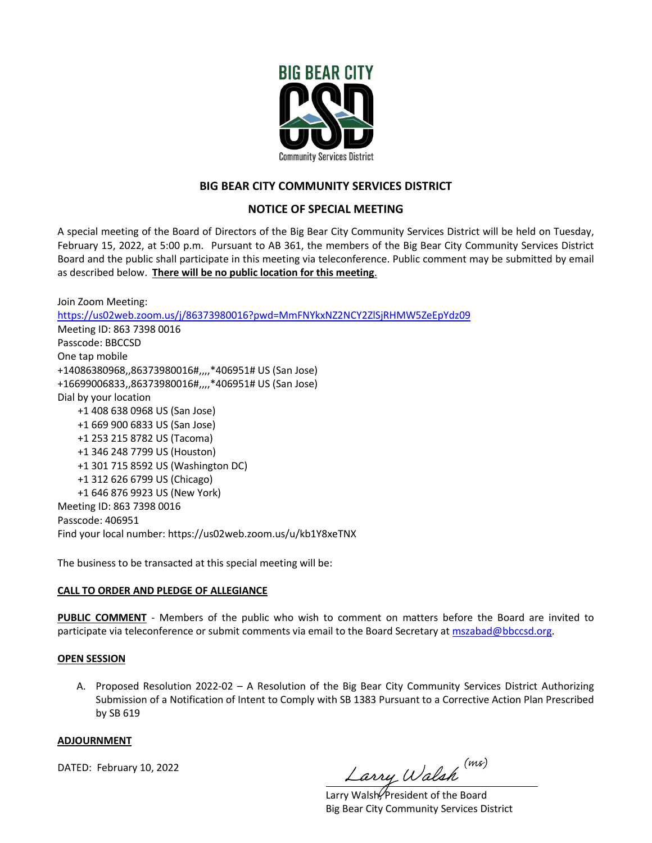

## **BIG BEAR CITY COMMUNITY SERVICES DISTRICT**

## **NOTICE OF SPECIAL MEETING**

A special meeting of the Board of Directors of the Big Bear City Community Services District will be held on Tuesday, February 15, 2022, at 5:00 p.m. Pursuant to AB 361, the members of the Big Bear City Community Services District Board and the public shall participate in this meeting via teleconference. Public comment may be submitted by email as described below. **There will be no public location for this meeting**.

Join Zoom Meeting: https://us02web.zoom.us/j/86373980016?pwd=MmFNYkxNZ2NCY2ZlSjRHMW5ZeEpYdz09 Meeting ID: 863 7398 0016 Passcode: BBCCSD One tap mobile +14086380968,,86373980016#,,,,\*406951# US (San Jose) +16699006833,,86373980016#,,,,\*406951# US (San Jose) Dial by your location +1 408 638 0968 US (San Jose) +1 669 900 6833 US (San Jose) +1 253 215 8782 US (Tacoma) +1 346 248 7799 US (Houston) +1 301 715 8592 US (Washington DC) +1 312 626 6799 US (Chicago) +1 646 876 9923 US (New York) Meeting ID: 863 7398 0016 Passcode: 406951 Find your local number: https://us02web.zoom.us/u/kb1Y8xeTNX

The business to be transacted at this special meeting will be:

### **CALL TO ORDER AND PLEDGE OF ALLEGIANCE**

**PUBLIC COMMENT** - Members of the public who wish to comment on matters before the Board are invited to participate via teleconference or submit comments via email to the Board Secretary at mszabad@bbccsd.org.

#### **OPEN SESSION**

A. Proposed Resolution 2022-02 – A Resolution of the Big Bear City Community Services District Authorizing Submission of a Notification of Intent to Comply with SB 1383 Pursuant to a Corrective Action Plan Prescribed by SB 619

#### **ADJOURNMENT**

DATED: February 10, 2022

Larry Walsh (ms)

Larry Walsh<sup>(president of the Board</sup> Big Bear City Community Services District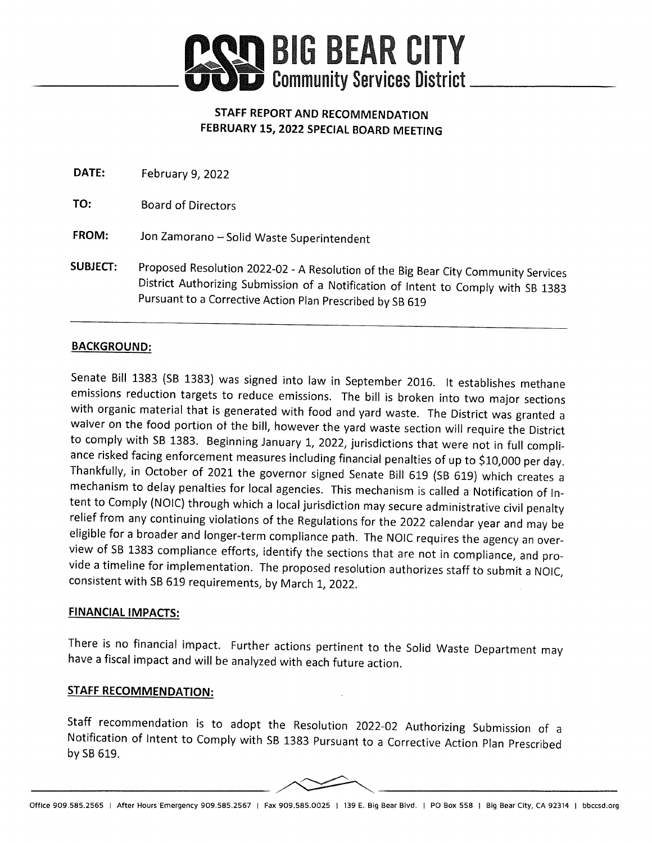

# STAFF REPORT AND RECOMMENDATION FEBRUARY 15, 2022 SPECIAL BOARD MEETING

| <b>DATE:</b>    | February 9, 2022                                                                                                                                                                                                                      |
|-----------------|---------------------------------------------------------------------------------------------------------------------------------------------------------------------------------------------------------------------------------------|
| TO:             | <b>Board of Directors</b>                                                                                                                                                                                                             |
| FROM:           | Jon Zamorano - Solid Waste Superintendent                                                                                                                                                                                             |
| <b>SUBJECT:</b> | Proposed Resolution 2022-02 - A Resolution of the Big Bear City Community Services<br>District Authorizing Submission of a Notification of Intent to Comply with SB 1383<br>Pursuant to a Corrective Action Plan Prescribed by SB 619 |

# **BACKGROUND:**

Senate Bill 1383 (SB 1383) was signed into law in September 2016. It establishes methane emissions reduction targets to reduce emissions. The bill is broken into two major sections with organic material that is generated with food and yard waste. The District was granted a waiver on the food portion of the bill, however the yard waste section will require the District to comply with SB 1383. Beginning January 1, 2022, jurisdictions that were not in full compliance risked facing enforcement measures including financial penalties of up to \$10,000 per day. Thankfully, in October of 2021 the governor signed Senate Bill 619 (SB 619) which creates a mechanism to delay penalties for local agencies. This mechanism is called a Notification of Intent to Comply (NOIC) through which a local jurisdiction may secure administrative civil penalty relief from any continuing violations of the Regulations for the 2022 calendar year and may be eligible for a broader and longer-term compliance path. The NOIC requires the agency an overview of SB 1383 compliance efforts, identify the sections that are not in compliance, and provide a timeline for implementation. The proposed resolution authorizes staff to submit a NOIC, consistent with SB 619 requirements, by March 1, 2022.

## **FINANCIAL IMPACTS:**

There is no financial impact. Further actions pertinent to the Solid Waste Department may have a fiscal impact and will be analyzed with each future action.

## **STAFF RECOMMENDATION:**

Staff recommendation is to adopt the Resolution 2022-02 Authorizing Submission of a Notification of Intent to Comply with SB 1383 Pursuant to a Corrective Action Plan Prescribed by SB 619.

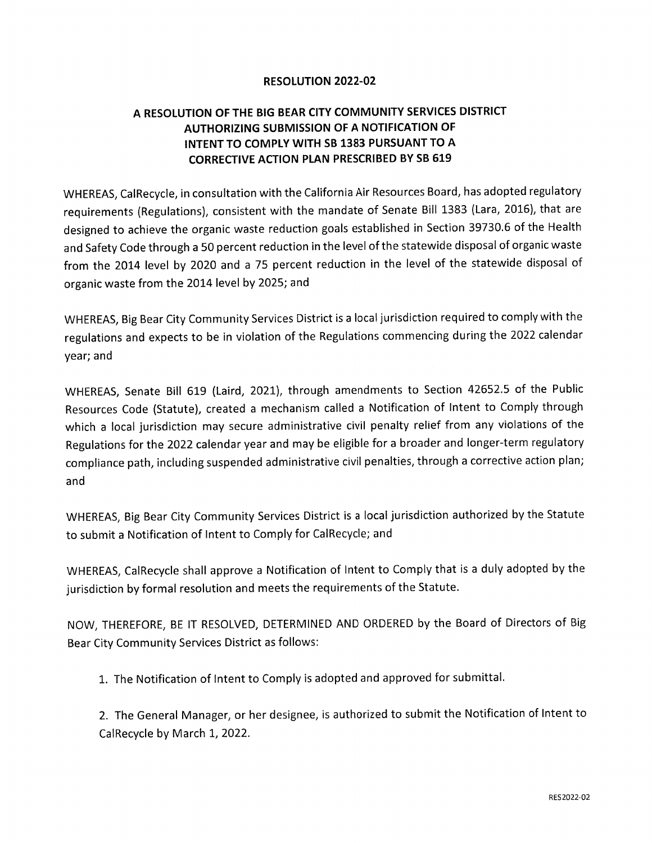# **RESOLUTION 2022-02**

# A RESOLUTION OF THE BIG BEAR CITY COMMUNITY SERVICES DISTRICT **AUTHORIZING SUBMISSION OF A NOTIFICATION OF** INTENT TO COMPLY WITH SB 1383 PURSUANT TO A **CORRECTIVE ACTION PLAN PRESCRIBED BY SB 619**

WHEREAS, CalRecycle, in consultation with the California Air Resources Board, has adopted regulatory requirements (Regulations), consistent with the mandate of Senate Bill 1383 (Lara, 2016), that are designed to achieve the organic waste reduction goals established in Section 39730.6 of the Health and Safety Code through a 50 percent reduction in the level of the statewide disposal of organic waste from the 2014 level by 2020 and a 75 percent reduction in the level of the statewide disposal of organic waste from the 2014 level by 2025; and

WHEREAS, Big Bear City Community Services District is a local jurisdiction required to comply with the regulations and expects to be in violation of the Regulations commencing during the 2022 calendar year; and

WHEREAS, Senate Bill 619 (Laird, 2021), through amendments to Section 42652.5 of the Public Resources Code (Statute), created a mechanism called a Notification of Intent to Comply through which a local jurisdiction may secure administrative civil penalty relief from any violations of the Regulations for the 2022 calendar year and may be eligible for a broader and longer-term regulatory compliance path, including suspended administrative civil penalties, through a corrective action plan; and

WHEREAS, Big Bear City Community Services District is a local jurisdiction authorized by the Statute to submit a Notification of Intent to Comply for CalRecycle; and

WHEREAS, CalRecycle shall approve a Notification of Intent to Comply that is a duly adopted by the jurisdiction by formal resolution and meets the requirements of the Statute.

NOW, THEREFORE, BE IT RESOLVED, DETERMINED AND ORDERED by the Board of Directors of Big Bear City Community Services District as follows:

1. The Notification of Intent to Comply is adopted and approved for submittal.

2. The General Manager, or her designee, is authorized to submit the Notification of Intent to CalRecycle by March 1, 2022.